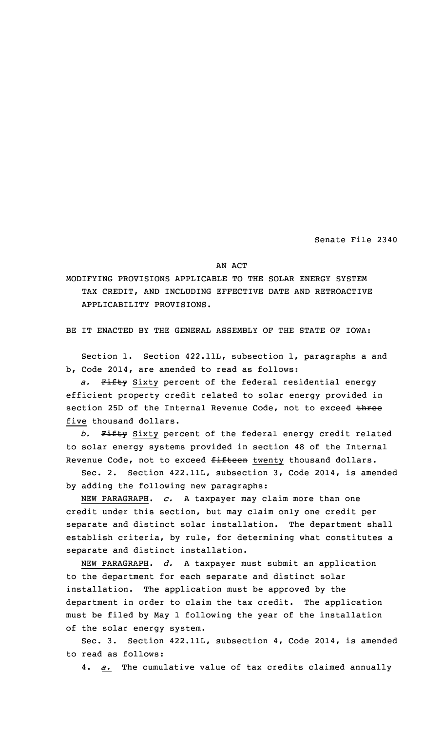Senate File 2340

AN ACT

MODIFYING PROVISIONS APPLICABLE TO THE SOLAR ENERGY SYSTEM TAX CREDIT, AND INCLUDING EFFECTIVE DATE AND RETROACTIVE APPLICABILITY PROVISIONS.

BE IT ENACTED BY THE GENERAL ASSEMBLY OF THE STATE OF IOWA:

Section 1. Section 422.11L, subsection 1, paragraphs <sup>a</sup> and b, Code 2014, are amended to read as follows:

*a.* Fifty Sixty percent of the federal residential energy efficient property credit related to solar energy provided in section 25D of the Internal Revenue Code, not to exceed three five thousand dollars.

*b.* Fifty Sixty percent of the federal energy credit related to solar energy systems provided in section 48 of the Internal Revenue Code, not to exceed fifteen twenty thousand dollars.

Sec. 2. Section 422.11L, subsection 3, Code 2014, is amended by adding the following new paragraphs:

NEW PARAGRAPH. *c.* <sup>A</sup> taxpayer may claim more than one credit under this section, but may claim only one credit per separate and distinct solar installation. The department shall establish criteria, by rule, for determining what constitutes <sup>a</sup> separate and distinct installation.

NEW PARAGRAPH. *d.* <sup>A</sup> taxpayer must submit an application to the department for each separate and distinct solar installation. The application must be approved by the department in order to claim the tax credit. The application must be filed by May 1 following the year of the installation of the solar energy system.

Sec. 3. Section 422.11L, subsection 4, Code 2014, is amended to read as follows:

4. *a.* The cumulative value of tax credits claimed annually